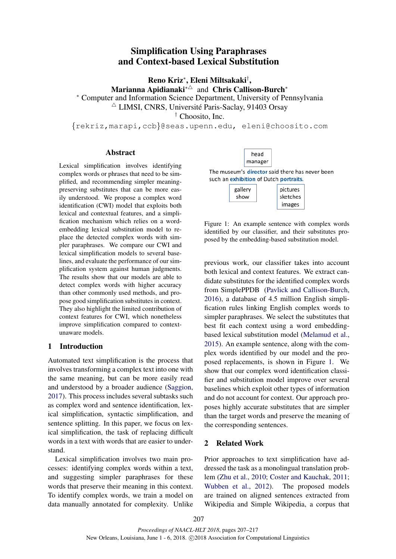# Simplification Using Paraphrases and Context-based Lexical Substitution

Reno Kriz<sup>∗</sup> , Eleni Miltsakaki† ,

Marianna Apidianaki<sup>∗∆</sup> and Chris Callison-Burch<sup>∗</sup>

<sup>∗</sup> Computer and Information Science Department, University of Pennsylvania

 $\triangle$  LIMSI, CNRS, Université Paris-Saclay, 91403 Orsay

† Choosito, Inc.

{rekriz,marapi,ccb}@seas.upenn.edu, eleni@choosito.com

#### Abstract

Lexical simplification involves identifying complex words or phrases that need to be simplified, and recommending simpler meaningpreserving substitutes that can be more easily understood. We propose a complex word identification (CWI) model that exploits both lexical and contextual features, and a simplification mechanism which relies on a wordembedding lexical substitution model to replace the detected complex words with simpler paraphrases. We compare our CWI and lexical simplification models to several baselines, and evaluate the performance of our simplification system against human judgments. The results show that our models are able to detect complex words with higher accuracy than other commonly used methods, and propose good simplification substitutes in context. They also highlight the limited contribution of context features for CWI, which nonetheless improve simplification compared to contextunaware models.

# 1 Introduction

Automated text simplification is the process that involves transforming a complex text into one with the same meaning, but can be more easily read and understood by a broader audience (Saggion, 2017). This process includes several subtasks such as complex word and sentence identification, lexical simplification, syntactic simplification, and sentence splitting. In this paper, we focus on lexical simplification, the task of replacing difficult words in a text with words that are easier to understand.

Lexical simplification involves two main processes: identifying complex words within a text, and suggesting simpler paraphrases for these words that preserve their meaning in this context. To identify complex words, we train a model on data manually annotated for complexity. Unlike



The museum's director said there has never been such an exhibition of Dutch portraits.

| gallery<br>show | pictures<br>sketches |
|-----------------|----------------------|
|                 | images               |

Figure 1: An example sentence with complex words identified by our classifier, and their substitutes proposed by the embedding-based substitution model.

previous work, our classifier takes into account both lexical and context features. We extract candidate substitutes for the identified complex words from SimplePPDB (Pavlick and Callison-Burch, 2016), a database of 4.5 million English simplification rules linking English complex words to simpler paraphrases. We select the substitutes that best fit each context using a word embeddingbased lexical substitution model (Melamud et al., 2015). An example sentence, along with the complex words identified by our model and the proposed replacements, is shown in Figure 1. We show that our complex word identification classifier and substitution model improve over several baselines which exploit other types of information and do not account for context. Our approach proposes highly accurate substitutes that are simpler than the target words and preserve the meaning of the corresponding sentences.

# 2 Related Work

Prior approaches to text simplification have addressed the task as a monolingual translation problem (Zhu et al., 2010; Coster and Kauchak, 2011; Wubben et al., 2012). The proposed models are trained on aligned sentences extracted from Wikipedia and Simple Wikipedia, a corpus that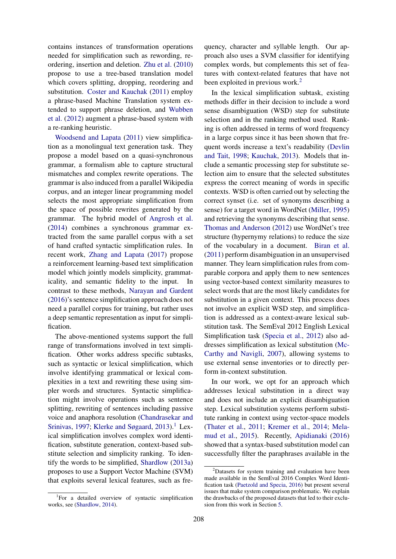contains instances of transformation operations needed for simplification such as rewording, reordering, insertion and deletion. Zhu et al. (2010) propose to use a tree-based translation model which covers splitting, dropping, reordering and substitution. Coster and Kauchak (2011) employ a phrase-based Machine Translation system extended to support phrase deletion, and Wubben et al. (2012) augment a phrase-based system with a re-ranking heuristic.

Woodsend and Lapata (2011) view simplification as a monolingual text generation task. They propose a model based on a quasi-synchronous grammar, a formalism able to capture structural mismatches and complex rewrite operations. The grammar is also induced from a parallel Wikipedia corpus, and an integer linear programming model selects the most appropriate simplification from the space of possible rewrites generated by the grammar. The hybrid model of Angrosh et al. (2014) combines a synchronous grammar extracted from the same parallel corpus with a set of hand crafted syntactic simplification rules. In recent work, Zhang and Lapata (2017) propose a reinforcement learning-based text simplification model which jointly models simplicity, grammaticality, and semantic fidelity to the input. In contrast to these methods, Narayan and Gardent (2016)'s sentence simplification approach does not need a parallel corpus for training, but rather uses a deep semantic representation as input for simplification.

The above-mentioned systems support the full range of transformations involved in text simplification. Other works address specific subtasks, such as syntactic or lexical simplification, which involve identifying grammatical or lexical complexities in a text and rewriting these using simpler words and structures. Syntactic simplification might involve operations such as sentence splitting, rewriting of sentences including passive voice and anaphora resolution (Chandrasekar and Srinivas, 1997; Klerke and Søgaard,  $2013$ .<sup>1</sup> Lexical simplification involves complex word identification, substitute generation, context-based substitute selection and simplicity ranking. To identify the words to be simplified, Shardlow (2013a) proposes to use a Support Vector Machine (SVM) that exploits several lexical features, such as fre-

quency, character and syllable length. Our approach also uses a SVM classifier for identifying complex words, but complements this set of features with context-related features that have not been exploited in previous work.<sup>2</sup>

In the lexical simplification subtask, existing methods differ in their decision to include a word sense disambiguation (WSD) step for substitute selection and in the ranking method used. Ranking is often addressed in terms of word frequency in a large corpus since it has been shown that frequent words increase a text's readability (Devlin and Tait, 1998; Kauchak, 2013). Models that include a semantic processing step for substitute selection aim to ensure that the selected substitutes express the correct meaning of words in specific contexts. WSD is often carried out by selecting the correct synset (i.e. set of synonyms describing a sense) for a target word in WordNet (Miller, 1995) and retrieving the synonyms describing that sense. Thomas and Anderson (2012) use WordNet's tree structure (hypernymy relations) to reduce the size of the vocabulary in a document. Biran et al. (2011) perform disambiguation in an unsupervised manner. They learn simplification rules from comparable corpora and apply them to new sentences using vector-based context similarity measures to select words that are the most likely candidates for substitution in a given context. This process does not involve an explicit WSD step, and simplification is addressed as a context-aware lexical substitution task. The SemEval 2012 English Lexical Simplification task (Specia et al., 2012) also addresses simplification as lexical substitution (Mc-Carthy and Navigli, 2007), allowing systems to use external sense inventories or to directly perform in-context substitution.

In our work, we opt for an approach which addresses lexical substitution in a direct way and does not include an explicit disambiguation step. Lexical substitution systems perform substitute ranking in context using vector-space models (Thater et al., 2011; Kremer et al., 2014; Melamud et al., 2015). Recently, Apidianaki (2016) showed that a syntax-based substitution model can successfully filter the paraphrases available in the

<sup>&</sup>lt;sup>1</sup>For a detailed overview of syntactic simplification works, see (Shardlow, 2014).

<sup>&</sup>lt;sup>2</sup>Datasets for system training and evaluation have been made available in the SemEval 2016 Complex Word Identification task (Paetzold and Specia, 2016) but present several issues that make system comparison problematic. We explain the drawbacks of the proposed datasets that led to their exclusion from this work in Section 5.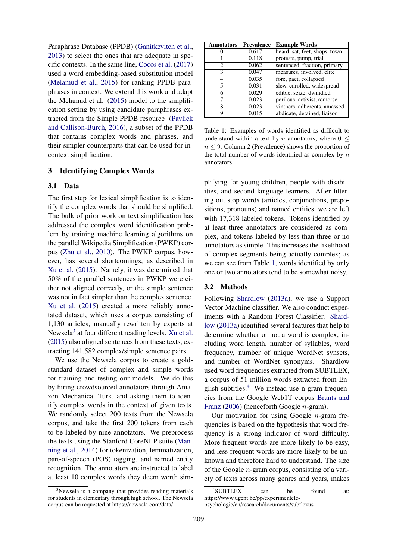Paraphrase Database (PPDB) (Ganitkevitch et al., 2013) to select the ones that are adequate in specific contexts. In the same line, Cocos et al. (2017) used a word embedding-based substitution model (Melamud et al., 2015) for ranking PPDB paraphrases in context. We extend this work and adapt the Melamud et al. (2015) model to the simplification setting by using candidate paraphrases extracted from the Simple PPDB resource (Pavlick and Callison-Burch, 2016), a subset of the PPDB that contains complex words and phrases, and their simpler counterparts that can be used for incontext simplification.

# 3 Identifying Complex Words

### 3.1 Data

The first step for lexical simplification is to identify the complex words that should be simplified. The bulk of prior work on text simplification has addressed the complex word identification problem by training machine learning algorithms on the parallel Wikipedia Simplification (PWKP) corpus (Zhu et al., 2010). The PWKP corpus, however, has several shortcomings, as described in Xu et al. (2015). Namely, it was determined that 50% of the parallel sentences in PWKP were either not aligned correctly, or the simple sentence was not in fact simpler than the complex sentence. Xu et al. (2015) created a more reliably annotated dataset, which uses a corpus consisting of 1,130 articles, manually rewritten by experts at Newsela<sup>3</sup> at four different reading levels. Xu et al. (2015) also aligned sentences from these texts, extracting 141,582 complex/simple sentence pairs.

We use the Newsela corpus to create a goldstandard dataset of complex and simple words for training and testing our models. We do this by hiring crowdsourced annotators through Amazon Mechanical Turk, and asking them to identify complex words in the context of given texts. We randomly select 200 texts from the Newsela corpus, and take the first 200 tokens from each to be labeled by nine annotators. We preprocess the texts using the Stanford CoreNLP suite (Manning et al., 2014) for tokenization, lemmatization, part-of-speech (POS) tagging, and named entity recognition. The annotators are instructed to label at least 10 complex words they deem worth sim-

<sup>3</sup>Newsela is a company that provides reading materials for students in elementary through high school. The Newsela corpus can be requested at https://newsela.com/data/

| <b>Prevalence</b> | <b>Example Words</b>          |
|-------------------|-------------------------------|
| 0.617             | heard, sat, feet, shops, town |
| 0.118             | protests, pump, trial         |
| 0.062             | sentenced, fraction, primary  |
| 0.047             | measures, involved, elite     |
| 0.035             | fore, pact, collapsed         |
| 0.031             | slew, enrolled, widespread    |
| 0.029             | edible, seize, dwindled       |
| 0.023             | perilous, activist, remorse   |
| 0.023             | vintners, adherents, amassed  |
| 0.015             | abdicate, detained, liaison   |
|                   |                               |

Table 1: Examples of words identified as difficult to understand within a text by n annotators, where  $0 \leq$  $n \leq 9$ . Column 2 (Prevalence) shows the proportion of the total number of words identified as complex by  $n$ annotators.

plifying for young children, people with disabilities, and second language learners. After filtering out stop words (articles, conjunctions, prepositions, pronouns) and named entities, we are left with 17,318 labeled tokens. Tokens identified by at least three annotators are considered as complex, and tokens labeled by less than three or no annotators as simple. This increases the likelihood of complex segments being actually complex; as we can see from Table 1, words identified by only one or two annotators tend to be somewhat noisy.

#### 3.2 Methods

Following Shardlow (2013a), we use a Support Vector Machine classifier. We also conduct experiments with a Random Forest Classifier. Shardlow (2013a) identified several features that help to determine whether or not a word is complex, including word length, number of syllables, word frequency, number of unique WordNet synsets, and number of WordNet synonyms. Shardlow used word frequencies extracted from SUBTLEX, a corpus of 51 million words extracted from English subtitles.<sup>4</sup> We instead use n-gram frequencies from the Google Web1T corpus Brants and Franz (2006) (henceforth Google n-gram).

Our motivation for using Google  $n$ -gram frequencies is based on the hypothesis that word frequency is a strong indicator of word difficulty. More frequent words are more likely to be easy, and less frequent words are more likely to be unknown and therefore hard to understand. The size of the Google  $n$ -gram corpus, consisting of a variety of texts across many genres and years, makes

<sup>4</sup> SUBTLEX can be found at: https://www.ugent.be/pp/experimentelepsychologie/en/research/documents/subtlexus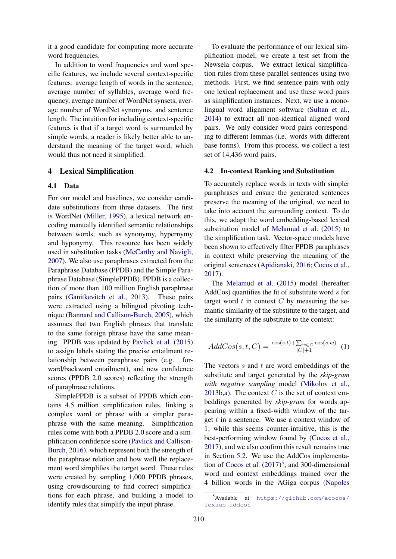it a good candidate for computing more accurate word frequencies.

In addition to word frequencies and word specific features, we include several context-specific features: average length of words in the sentence, average number of syllables, average word frequency, average number of WordNet synsets, average number of WordNet synonyms, and sentence length. The intuition for including context-specific features is that if a target word is surrounded by simple words, a reader is likely better able to understand the meaning of the target word, which would thus not need it simplified.

#### 4 Lexical Simplification

#### 4.1 Data

For our model and baselines, we consider candidate substitutions from three datasets. The first is WordNet (Miller, 1995), a lexical network encoding manually identified semantic relationships between words, such as synonymy, hypernymy and hyponymy. This resource has been widely used in substitution tasks (McCarthy and Navigli, 2007). We also use paraphrases extracted from the Paraphrase Database (PPDB) and the Simple Paraphrase Database (SimplePPDB). PPDB is a collection of more than 100 million English paraphrase pairs (Ganitkevitch et al., 2013). These pairs were extracted using a bilingual pivoting technique (Bannard and Callison-Burch, 2005), which assumes that two English phrases that translate to the same foreign phrase have the same meaning. PPDB was updated by Pavlick et al. (2015) to assign labels stating the precise entailment relationship between paraphrase pairs (e.g. forward/backward entailment), and new confidence scores (PPDB 2.0 scores) reflecting the strength of paraphrase relations.

SimplePPDB is a subset of PPDB which contains 4.5 million simplification rules, linking a complex word or phrase with a simpler paraphrase with the same meaning. Simplification rules come with both a PPDB 2.0 score and a simplification confidence score (Pavlick and Callison-Burch, 2016), which represent both the strength of the paraphrase relation and how well the replacement word simplifies the target word. These rules were created by sampling 1,000 PPDB phrases, using crowdsourcing to find correct simplifications for each phrase, and building a model to identify rules that simplify the input phrase.

To evaluate the performance of our lexical simplification model, we create a test set from the Newsela corpus. We extract lexical simplification rules from these parallel sentences using two methods. First, we find sentence pairs with only one lexical replacement and use these word pairs as simplification instances. Next, we use a monolingual word alignment software (Sultan et al., 2014) to extract all non-identical aligned word pairs. We only consider word pairs corresponding to different lemmas (i.e. words with different base forms). From this process, we collect a test set of 14,436 word pairs.

#### 4.2 In-context Ranking and Substitution

To accurately replace words in texts with simpler paraphrases and ensure the generated sentences preserve the meaning of the original, we need to take into account the surrounding context. To do this, we adapt the word embedding-based lexical substitution model of Melamud et al. (2015) to the simplification task. Vector-space models have been shown to effectively filter PPDB paraphrases in context while preserving the meaning of the original sentences (Apidianaki, 2016; Cocos et al., 2017).

The Melamud et al. (2015) model (hereafter AddCos) quantifies the fit of substitute word s for target word  $t$  in context  $C$  by measuring the semantic similarity of the substitute to the target, and the similarity of the substitute to the context:

$$
AddCos(s, t, C) = \frac{\cos(s, t) + \sum_{w \in C} \cos(s, w)}{|C| + 1}
$$
 (1)

The vectors  $s$  and  $t$  are word embeddings of the substitute and target generated by the *skip-gram with negative sampling* model (Mikolov et al., 2013b,a). The context  $C$  is the set of context embeddings generated by *skip-gram* for words appearing within a fixed-width window of the target  $t$  in a sentence. We use a context window of 1; while this seems counter-intuitive, this is the best-performing window found by (Cocos et al., 2017), and we also confirm this result remains true in Section 5.2. We use the AddCos implementation of Cocos et al.  $(2017)^5$ , and 300-dimensional word and context embeddings trained over the 4 billion words in the AGiga corpus (Napoles

<sup>5</sup>Available at https://github.com/acocos/ lexsub\_addcos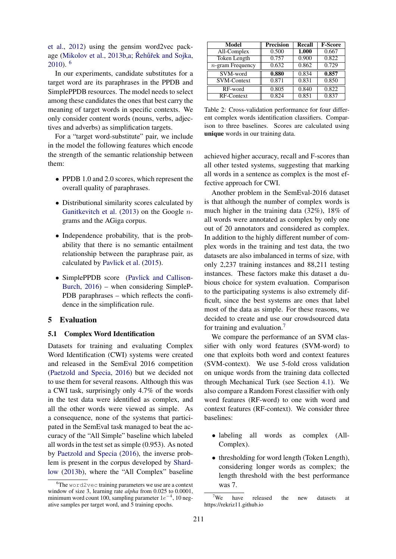et al., 2012) using the gensim word2vec package (Mikolov et al., 2013b, a: Řehůřek and Soika,  $2010$ ).  $6$ 

In our experiments, candidate substitutes for a target word are its paraphrases in the PPDB and SimplePPDB resources. The model needs to select among these candidates the ones that best carry the meaning of target words in specific contexts. We only consider content words (nouns, verbs, adjectives and adverbs) as simplification targets.

For a "target word-substitute" pair, we include in the model the following features which encode the strength of the semantic relationship between them:

- PPDB 1.0 and 2.0 scores, which represent the overall quality of paraphrases.
- Distributional similarity scores calculated by Ganitkevitch et al.  $(2013)$  on the Google *n*grams and the AGiga corpus.
- Independence probability, that is the probability that there is no semantic entailment relationship between the paraphrase pair, as calculated by Pavlick et al. (2015).
- SimplePPDB score (Pavlick and Callison-Burch, 2016) – when considering SimpleP-PDB paraphrases – which reflects the confidence in the simplification rule.

#### 5 Evaluation

#### 5.1 Complex Word Identification

Datasets for training and evaluating Complex Word Identification (CWI) systems were created and released in the SemEval 2016 competition (Paetzold and Specia, 2016) but we decided not to use them for several reasons. Although this was a CWI task, surprisingly only 4.7% of the words in the test data were identified as complex, and all the other words were viewed as simple. As a consequence, none of the systems that participated in the SemEval task managed to beat the accuracy of the "All Simple" baseline which labeled all words in the test set as simple (0.953). As noted by Paetzold and Specia (2016), the inverse problem is present in the corpus developed by Shardlow (2013b), where the "All Complex" baseline

| <b>Model</b>                     | <b>Precision</b> | Recall | <b>F-Score</b> |
|----------------------------------|------------------|--------|----------------|
| $\overline{\text{All}}$ -Complex | 0.500            | 1.000  | 0.667          |
| Token Length                     | 0.757            | 0.900  | 0.822          |
| $n$ -gram Frequency              | 0.632            | 0.862  | 0.729          |
| SVM-word                         | 0.880            | 0.834  | 0.857          |
| <b>SVM-Context</b>               | 0.871            | 0.831  | 0.850          |
| RF-word                          | 0.805            | 0.840  | 0.822          |
| RF-Context                       | 0.824            | 0.851  | 0.837          |

Table 2: Cross-validation performance for four different complex words identification classifiers. Comparison to three baselines. Scores are calculated using unique words in our training data.

achieved higher accuracy, recall and F-scores than all other tested systems, suggesting that marking all words in a sentence as complex is the most effective approach for CWI.

Another problem in the SemEval-2016 dataset is that although the number of complex words is much higher in the training data (32%), 18% of all words were annotated as complex by only one out of 20 annotators and considered as complex. In addition to the highly different number of complex words in the training and test data, the two datasets are also imbalanced in terms of size, with only 2,237 training instances and 88,211 testing instances. These factors make this dataset a dubious choice for system evaluation. Comparison to the participating systems is also extremely difficult, since the best systems are ones that label most of the data as simple. For these reasons, we decided to create and use our crowdsourced data for training and evaluation.<sup>7</sup>

We compare the performance of an SVM classifier with only word features (SVM-word) to one that exploits both word and context features (SVM-context). We use 5-fold cross validation on unique words from the training data collected through Mechanical Turk (see Section 4.1). We also compare a Random Forest classifier with only word features (RF-word) to one with word and context features (RF-context). We consider three baselines:

- labeling all words as complex (All-Complex).
- thresholding for word length (Token Length), considering longer words as complex; the length threshold with the best performance was 7.

 ${}^{6}$ The word2vec training parameters we use are a context window of size 3, learning rate *alpha* from 0.025 to 0.0001, minimum word count 100, sampling parameter  $1e^{-4}$ , 10 negative samples per target word, and 5 training epochs.

 $7$ We have released the new datasets at https://rekriz11.github.io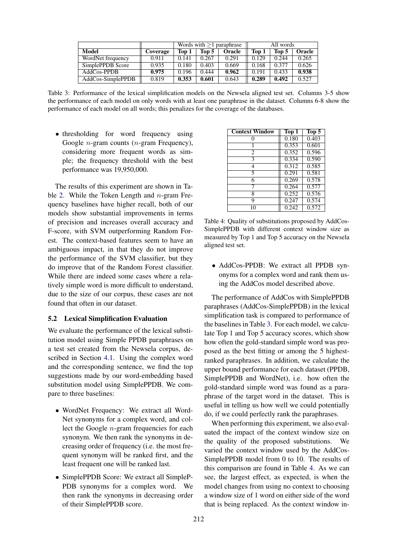|                   | Words with $>1$ paraphrase |       |       | All words     |       |       |        |
|-------------------|----------------------------|-------|-------|---------------|-------|-------|--------|
| Model             | Coverage                   | Top 1 | Top 5 | <b>Oracle</b> | Top 1 | Top 5 | Oracle |
| WordNet frequency | 0.911                      | 0.141 | 0.267 | 0.291         | 0.129 | 0.244 | 0.265  |
| SimplePPDB Score  | 0.935                      | 0.180 | 0.403 | 0.669         | 0.168 | 0.377 | 0.626  |
| $AddCos-PPDB$     | 0.975                      | 0.196 | 0.444 | 0.962         | 0.191 | 0.433 | 0.938  |
| AddCos-SimplePPDB | 0.819                      | 0.353 | 0.601 | 0.643         | 0.289 | 0.492 | 0.527  |

Table 3: Performance of the lexical simplification models on the Newsela aligned test set. Columns 3-5 show the performance of each model on only words with at least one paraphrase in the dataset. Columns 6-8 show the performance of each model on all words; this penalizes for the coverage of the databases.

• thresholding for word frequency using Google n-gram counts (n-gram Frequency), considering more frequent words as simple; the frequency threshold with the best performance was 19,950,000.

The results of this experiment are shown in Table 2. While the Token Length and  $n$ -gram Frequency baselines have higher recall, both of our models show substantial improvements in terms of precision and increases overall accuracy and F-score, with SVM outperforming Random Forest. The context-based features seem to have an ambiguous impact, in that they do not improve the performance of the SVM classifier, but they do improve that of the Random Forest classifier. While there are indeed some cases where a relatively simple word is more difficult to understand, due to the size of our corpus, these cases are not found that often in our dataset.

#### 5.2 Lexical Simplification Evaluation

We evaluate the performance of the lexical substitution model using Simple PPDB paraphrases on a test set created from the Newsela corpus, described in Section 4.1. Using the complex word and the corresponding sentence, we find the top suggestions made by our word-embedding based substitution model using SimplePPDB. We compare to three baselines:

- WordNet Frequency: We extract all Word-Net synonyms for a complex word, and collect the Google  $n$ -gram frequencies for each synonym. We then rank the synonyms in decreasing order of frequency (i.e. the most frequent synonym will be ranked first, and the least frequent one will be ranked last.
- SimplePPDB Score: We extract all SimpleP-PDB synonyms for a complex word. We then rank the synonyms in decreasing order of their SimplePPDB score.

| <b>Context Window</b> | Top 1 | Top 5 |
|-----------------------|-------|-------|
| 0                     | 0.180 | 0.403 |
|                       | 0.353 | 0.601 |
| $\overline{c}$        | 0.352 | 0.596 |
| $\bar{3}$             | 0.334 | 0.590 |
| 4                     | 0.312 | 0.585 |
| 5                     | 0.291 | 0.581 |
| 6                     | 0.269 | 0.578 |
| 7                     | 0.264 | 0.577 |
| 8                     | 0.252 | 0.576 |
| 9                     | 0.247 | 0.574 |
| 10                    | 0.242 | 0.572 |

Table 4: Quality of substitutions proposed by AddCos-SimplePPDB with different context window size as measured by Top 1 and Top 5 accuracy on the Newsela aligned test set.

• AddCos-PPDB: We extract all PPDB synonyms for a complex word and rank them using the AddCos model described above.

The performance of AddCos with SimplePPDB paraphrases (AddCos-SimplePPDB) in the lexical simplification task is compared to performance of the baselines in Table 3. For each model, we calculate Top 1 and Top 5 accuracy scores, which show how often the gold-standard simple word was proposed as the best fitting or among the 5 highestranked paraphrases. In addition, we calculate the upper bound performance for each dataset (PPDB, SimplePPDB and WordNet), i.e. how often the gold-standard simple word was found as a paraphrase of the target word in the dataset. This is useful in telling us how well we could potentially do, if we could perfectly rank the paraphrases.

When performing this experiment, we also evaluated the impact of the context window size on the quality of the proposed substitutions. We varied the context window used by the AddCos-SimplePPDB model from 0 to 10. The results of this comparison are found in Table 4. As we can see, the largest effect, as expected, is when the model changes from using no context to choosing a window size of 1 word on either side of the word that is being replaced. As the context window in-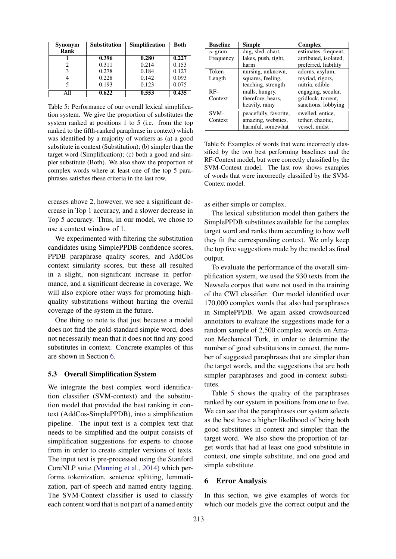| <b>Synonym</b> | <b>Substitution</b> | <b>Simplification</b> | <b>Both</b> |
|----------------|---------------------|-----------------------|-------------|
| <b>Rank</b>    |                     |                       |             |
|                | 0.396               | 0.280                 | 0.227       |
| 2              | 0.311               | 0.214                 | 0.153       |
| 3              | 0.278               | 0.184                 | 0.127       |
| 4              | 0.228               | 0.142                 | 0.093       |
| 5              | 0.193               | 0.123                 | 0.075       |
| All            | 0.622               | 0.553                 | 0.435       |

Table 5: Performance of our overall lexical simplification system. We give the proportion of substitutes the system ranked at positions 1 to 5 (i.e. from the top ranked to the fifth-ranked paraphrase in context) which was identified by a majority of workers as (a) a good substitute in context (Substitution); (b) simpler than the target word (Simplification); (c) both a good and simpler substitute (Both). We also show the proportion of complex words where at least one of the top 5 paraphrases satisfies these criteria in the last row.

creases above 2, however, we see a significant decrease in Top 1 accuracy, and a slower decrease in Top 5 accuracy. Thus, in our model, we chose to use a context window of 1.

We experimented with filtering the substitution candidates using SimplePPDB confidence scores, PPDB paraphrase quality scores, and AddCos context similarity scores, but these all resulted in a slight, non-significant increase in performance, and a significant decrease in coverage. We will also explore other ways for promoting highquality substitutions without hurting the overall coverage of the system in the future.

One thing to note is that just because a model does not find the gold-standard simple word, does not necessarily mean that it does not find any good substitutes in context. Concrete examples of this are shown in Section 6.

#### 5.3 Overall Simplification System

We integrate the best complex word identification classifier (SVM-context) and the substitution model that provided the best ranking in context (AddCos-SimplePPDB), into a simplification pipeline. The input text is a complex text that needs to be simplified and the output consists of simplification suggestions for experts to choose from in order to create simpler versions of texts. The input text is pre-processed using the Stanford CoreNLP suite (Manning et al., 2014) which performs tokenization, sentence splitting, lemmatization, part-of-speech and named entity tagging. The SVM-Context classifier is used to classify each content word that is not part of a named entity

| <b>Baseline</b> | Simple                | Complex               |
|-----------------|-----------------------|-----------------------|
| $n$ -gram       | dug, sled, chart,     | estimates, frequent,  |
| Frequency       | lakes, push, tight,   | attributed, isolated, |
|                 | harm                  | preferred, liability  |
| Token           | nursing, unknown,     | adorns, asylum,       |
| Length          | squares, feeling,     | myriad, rigors,       |
|                 | teaching, strength    | nutria, edible        |
| RF-             | malls, hungry,        | engaging, secular,    |
| Context         | therefore, hears,     | gridlock, torrent,    |
|                 | heavily, rainy        | sanctions, lobbying   |
| SVM-            | peacefully, favorite, | swelled, entice,      |
| Context         | amazing, websites,    | tether, chaotic,      |
|                 | harmful, somewhat     | vessel, midst         |

Table 6: Examples of words that were incorrectly classified by the two best performing baselines and the RF-Context model, but were correctly classified by the SVM-Context model. The last row shows examples of words that were incorrectly classified by the SVM-Context model.

as either simple or complex.

The lexical substitution model then gathers the SimplePPDB substitutes available for the complex target word and ranks them according to how well they fit the corresponding context. We only keep the top five suggestions made by the model as final output.

To evaluate the performance of the overall simplification system, we used the 930 texts from the Newsela corpus that were not used in the training of the CWI classifier. Our model identified over 170,000 complex words that also had paraphrases in SimplePPDB. We again asked crowdsourced annotators to evaluate the suggestions made for a random sample of 2,500 complex words on Amazon Mechanical Turk, in order to determine the number of good substitutions in context, the number of suggested paraphrases that are simpler than the target words, and the suggestions that are both simpler paraphrases and good in-context substitutes.

Table 5 shows the quality of the paraphrases ranked by our system in positions from one to five. We can see that the paraphrases our system selects as the best have a higher likelihood of being both good substitutes in context and simpler than the target word. We also show the proportion of target words that had at least one good substitute in context, one simple substitute, and one good and simple substitute.

#### 6 Error Analysis

In this section, we give examples of words for which our models give the correct output and the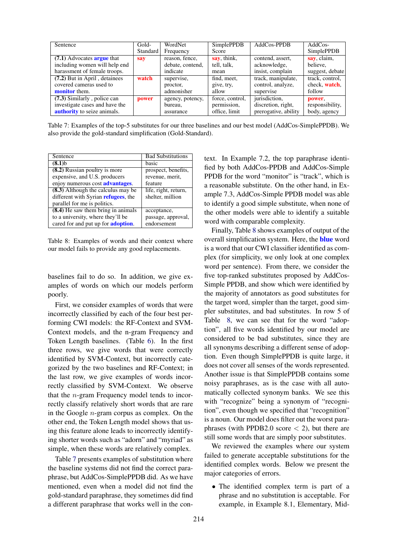| Sentence                           | Gold-    | WordNet          | <b>SimplePPDB</b> | AddCos-PPDB          | $AddCos-$         |
|------------------------------------|----------|------------------|-------------------|----------------------|-------------------|
|                                    | Standard | Frequency        | Score             |                      | <b>SimplePPDB</b> |
| (7.1) Advocates <b>argue</b> that  | say      | reason, fence,   | say, think,       | contend, assert,     | say, claim,       |
| including women will help end      |          | debate, contend, | tell, talk,       | acknowledge,         | believe.          |
| harassment of female troops.       |          | indicate         | mean              | insist, complain     | suggest, debate   |
| (7.2) But in April, detainees      | watch    | supervise,       | find, meet,       | track, manipulate,   | track, control,   |
| covered cameras used to            |          | proctor,         | give, try,        | control, analyze,    | check, watch,     |
| <b>monitor</b> them.               |          | admonisher       | allow             | supervise            | follow            |
| $(7.3)$ Similarly, police can      | power    | agency, potency, | force, control,   | jurisdiction,        | power,            |
| investigate cases and have the     |          | bureau,          | permission,       | discretion, right,   | responsibility,   |
| <b>authority</b> to seize animals. |          | assurance        | office, limit     | prerogative, ability | body, agency      |

Table 7: Examples of the top-5 substitutes for our three baselines and our best model (AddCos-SimplePPDB). We also provide the gold-standard simplification (Gold-Standard).

| Sentence                                    | <b>Bad Substitutions</b> |
|---------------------------------------------|--------------------------|
| $(8.1)$ b                                   | basic                    |
| (8.2) Russian poultry is more               | prospect, benefits,      |
| expensive, and U.S. producers               | revenue, merit,          |
| enjoy numerous cost <b>advantages</b> .     | feature                  |
| (8.3) Although the calculus may be          | life, right, return,     |
| different with Syrian <b>refugees</b> , the | shelter, million         |
| parallel for me is politics.                |                          |
| (8.4) He saw them bring in animals          | acceptance,              |
| to a university, where they'll be           | passage, approval,       |
| cared for and put up for <b>adoption</b> .  | endorsement              |

Table 8: Examples of words and their context where our model fails to provide any good replacements.

baselines fail to do so. In addition, we give examples of words on which our models perform poorly.

First, we consider examples of words that were incorrectly classified by each of the four best performing CWI models: the RF-Context and SVM-Context models, and the n-gram Frequency and Token Length baselines. (Table 6). In the first three rows, we give words that were correctly identified by SVM-Context, but incorrectly categorized by the two baselines and RF-Context; in the last row, we give examples of words incorrectly classified by SVM-Context. We observe that the n-gram Frequency model tends to incorrectly classify relatively short words that are rare in the Google  $n$ -gram corpus as complex. On the other end, the Token Length model shows that using this feature alone leads to incorrectly identifying shorter words such as "adorn" and "myriad" as simple, when these words are relatively complex.

Table 7 presents examples of substitution where the baseline systems did not find the correct paraphrase, but AddCos-SimplePPDB did. As we have mentioned, even when a model did not find the gold-standard paraphrase, they sometimes did find a different paraphrase that works well in the context. In Example 7.2, the top paraphrase identified by both AddCos-PPDB and AddCos-Simple PPDB for the word "monitor" is "track", which is a reasonable substitute. On the other hand, in Example 7.3, AddCos-Simple PPDB model was able to identify a good simple substitute, when none of the other models were able to identify a suitable word with comparable complexity.

Finally, Table 8 shows examples of output of the overall simplification system. Here, the **blue** word is a word that our CWI classifier identified as complex (for simplicity, we only look at one complex word per sentence). From there, we consider the five top-ranked substitutes proposed by AddCos-Simple PPDB, and show which were identified by the majority of annotators as good substitutes for the target word, simpler than the target, good simpler substitutes, and bad substitutes. In row 5 of Table 8, we can see that for the word "adoption", all five words identified by our model are considered to be bad substitutes, since they are all synonyms describing a different sense of adoption. Even though SimplePPDB is quite large, it does not cover all senses of the words represented. Another issue is that SimplePPDB contains some noisy paraphrases, as is the case with all automatically collected synonym banks. We see this with "recognize" being a synonym of "recognition", even though we specified that "recognition" is a noun. Our model does filter out the worst paraphrases (with PPDB2.0 score  $\lt$  2), but there are still some words that are simply poor substitutes.

We reviewed the examples where our system failed to generate acceptable substitutions for the identified complex words. Below we present the major categories of errors.

• The identified complex term is part of a phrase and no substitution is acceptable. For example, in Example 8.1, Elementary, Mid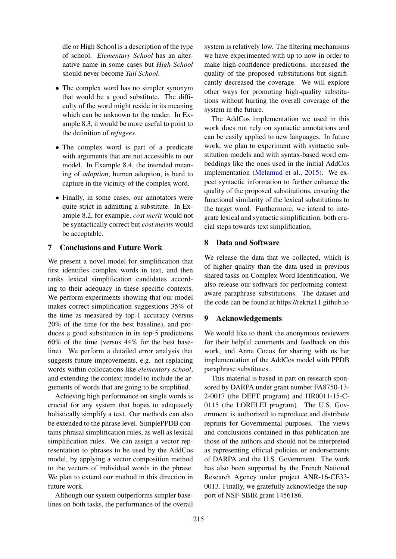dle or High School is a description of the type of school. *Elementary School* has an alternative name in some cases but *High School* should never become *Tall School*.

- The complex word has no simpler synonym that would be a good substitute. The difficulty of the word might reside in its meaning which can be unknown to the reader. In Example 8.3, it would be more useful to point to the definition of *refugees*.
- The complex word is part of a predicate with arguments that are not accessible to our model. In Example 8.4, the intended meaning of *adoption*, human adoption, is hard to capture in the vicinity of the complex word.
- Finally, in some cases, our annotators were quite strict in admitting a substitute. In Example 8.2, for example, *cost merit* would not be syntactically correct but *cost merits* would be acceptable.

# 7 Conclusions and Future Work

We present a novel model for simplification that first identifies complex words in text, and then ranks lexical simplification candidates according to their adequacy in these specific contexts. We perform experiments showing that our model makes correct simplification suggestions 35% of the time as measured by top-1 accuracy (versus 20% of the time for the best baseline), and produces a good substitution in its top-5 predictions 60% of the time (versus 44% for the best baseline). We perform a detailed error analysis that suggests future improvements, e.g. not replacing words within collocations like *elementary school*, and extending the context model to include the arguments of words that are going to be simplified.

Achieving high performance on single words is crucial for any system that hopes to adequately holistically simplify a text. Our methods can also be extended to the phrase level. SimplePPDB contains phrasal simplification rules, as well as lexical simplification rules. We can assign a vector representation to phrases to be used by the AddCos model, by applying a vector composition method to the vectors of individual words in the phrase. We plan to extend our method in this direction in future work.

Although our system outperforms simpler baselines on both tasks, the performance of the overall system is relatively low. The filtering mechanisms we have experimented with up to now in order to make high-confidence predictions, increased the quality of the proposed substitutions but significantly decreased the coverage. We will explore other ways for promoting high-quality substitutions without hurting the overall coverage of the system in the future.

The AddCos implementation we used in this work does not rely on syntactic annotations and can be easily applied to new languages. In future work, we plan to experiment with syntactic substitution models and with syntax-based word embeddings like the ones used in the initial AddCos implementation (Melamud et al., 2015). We expect syntactic information to further enhance the quality of the proposed substitutions, ensuring the functional similarity of the lexical substitutions to the target word. Furthermore, we intend to integrate lexical and syntactic simplification, both crucial steps towards text simplification.

# 8 Data and Software

We release the data that we collected, which is of higher quality than the data used in previous shared tasks on Complex Word Identification. We also release our software for performing contextaware paraphrase substitutions. The dataset and the code can be found at https://rekriz11.github.io

# 9 Acknowledgements

We would like to thank the anonymous reviewers for their helpful comments and feedback on this work, and Anne Cocos for sharing with us her implementation of the AddCos model with PPDB paraphrase substitutes.

This material is based in part on research sponsored by DARPA under grant number FA8750-13- 2-0017 (the DEFT program) and HR0011-15-C-0115 (the LORELEI program). The U.S. Government is authorized to reproduce and distribute reprints for Governmental purposes. The views and conclusions contained in this publication are those of the authors and should not be interpreted as representing official policies or endorsements of DARPA and the U.S. Government. The work has also been supported by the French National Research Agency under project ANR-16-CE33- 0013. Finally, we gratefully acknowledge the support of NSF-SBIR grant 1456186.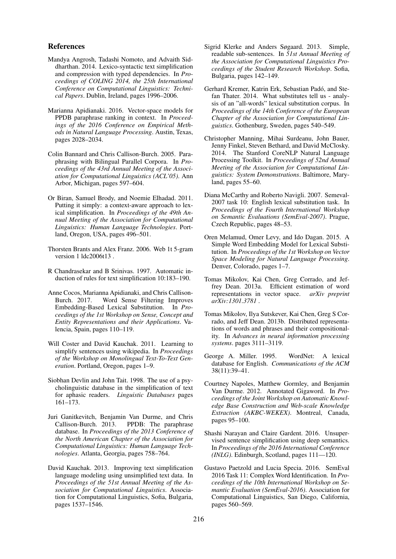#### References

- Mandya Angrosh, Tadashi Nomoto, and Advaith Siddharthan. 2014. Lexico-syntactic text simplification and compression with typed dependencies. In *Proceedings of COLING 2014, the 25th International Conference on Computational Linguistics: Technical Papers*. Dublin, Ireland, pages 1996–2006.
- Marianna Apidianaki. 2016. Vector-space models for PPDB paraphrase ranking in context. In *Proceedings of the 2016 Conference on Empirical Methods in Natural Language Processing*. Austin, Texas, pages 2028–2034.
- Colin Bannard and Chris Callison-Burch. 2005. Paraphrasing with Bilingual Parallel Corpora. In *Proceedings of the 43rd Annual Meeting of the Association for Computational Linguistics (ACL'05)*. Ann Arbor, Michigan, pages 597–604.
- Or Biran, Samuel Brody, and Noemie Elhadad. 2011. Putting it simply: a context-aware approach to lexical simplification. In *Proceedings of the 49th Annual Meeting of the Association for Computational Linguistics: Human Language Technologies*. Portland, Oregon, USA, pages 496–501.
- Thorsten Brants and Alex Franz. 2006. Web 1t 5-gram version 1 ldc2006t13 .
- R Chandrasekar and B Srinivas. 1997. Automatic induction of rules for text simplification 10:183–190.
- Anne Cocos, Marianna Apidianaki, and Chris Callison-Word Sense Filtering Improves Embedding-Based Lexical Substitution. In *Proceedings of the 1st Workshop on Sense, Concept and Entity Representations and their Applications*. Valencia, Spain, pages 110–119.
- Will Coster and David Kauchak. 2011. Learning to simplify sentences using wikipedia. In *Proceedings of the Workshop on Monolingual Text-To-Text Generation*. Portland, Oregon, pages 1–9.
- Siobhan Devlin and John Tait. 1998. The use of a psycholinguistic database in the simplification of text for aphasic readers. *Linguistic Databases* pages 161–173.
- Juri Ganitkevitch, Benjamin Van Durme, and Chris Callison-Burch. 2013. PPDB: The paraphrase database. In *Proceedings of the 2013 Conference of the North American Chapter of the Association for Computational Linguistics: Human Language Technologies*. Atlanta, Georgia, pages 758–764.
- David Kauchak. 2013. Improving text simplification language modeling using unsimplified text data. In *Proceedings of the 51st Annual Meeting of the Association for Computational Linguistics*. Association for Computational Linguistics, Sofia, Bulgaria, pages 1537–1546.
- Sigrid Klerke and Anders Søgaard. 2013. Simple, readable sub-sentences. In *51st Annual Meeting of the Association for Computational Linguistics Proceedings of the Student Research Workshop*. Sofia, Bulgaria, pages 142–149.
- Gerhard Kremer, Katrin Erk, Sebastian Padó, and Stefan Thater. 2014. What substitutes tell us - analysis of an "all-words" lexical substitution corpus. In *Proceedings of the 14th Conference of the European Chapter of the Association for Computational Linguistics*. Gothenburg, Sweden, pages 540–549.
- Christopher Manning, Mihai Surdeanu, John Bauer, Jenny Finkel, Steven Bethard, and David McClosky. 2014. The Stanford CoreNLP Natural Language Processing Toolkit. In *Proceedings of 52nd Annual Meeting of the Association for Computational Linguistics: System Demonstrations*. Baltimore, Maryland, pages 55–60.
- Diana McCarthy and Roberto Navigli. 2007. Semeval-2007 task 10: English lexical substitution task. In *Proceedings of the Fourth International Workshop on Semantic Evaluations (SemEval-2007)*. Prague, Czech Republic, pages 48–53.
- Oren Melamud, Omer Levy, and Ido Dagan. 2015. A Simple Word Embedding Model for Lexical Substitution. In *Proceedings of the 1st Workshop on Vector Space Modeling for Natural Language Processing*. Denver, Colorado, pages 1–7.
- Tomas Mikolov, Kai Chen, Greg Corrado, and Jeffrey Dean. 2013a. Efficient estimation of word representations in vector space. *arXiv preprint arXiv:1301.3781* .
- Tomas Mikolov, Ilya Sutskever, Kai Chen, Greg S Corrado, and Jeff Dean. 2013b. Distributed representations of words and phrases and their compositionality. In *Advances in neural information processing systems*. pages 3111–3119.
- George A. Miller. 1995. WordNet: A lexical database for English. *Communications of the ACM* 38(11):39–41.
- Courtney Napoles, Matthew Gormley, and Benjamin Van Durme. 2012. Annotated Gigaword. In *Proceedings of the Joint Workshop on Automatic Knowledge Base Construction and Web-scale Knowledge Extraction (AKBC-WEKEX)*. Montreal, Canada, pages 95–100.
- Shashi Narayan and Claire Gardent. 2016. Unsupervised sentence simplification using deep semantics. In *Proceedings of the 2016 International Conference (INLG)*. Edinburgh, Scotland, pages 111—120.
- Gustavo Paetzold and Lucia Specia. 2016. SemEval 2016 Task 11: Complex Word Identification. In *Proceedings of the 10th International Workshop on Semantic Evaluation (SemEval-2016)*. Association for Computational Linguistics, San Diego, California, pages 560–569.